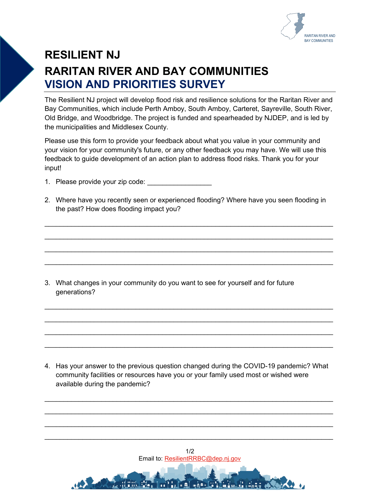

## **RESILIENT NJ RARITAN RIVER AND BAY COMMUNITIES VISION AND PRIORITIES SURVEY**

The Resilient NJ project will develop flood risk and resilience solutions for the Raritan River and Bay Communities, which include Perth Amboy, South Amboy, Carteret, Sayreville, South River, Old Bridge, and Woodbridge. The project is funded and spearheaded by NJDEP, and is led by the municipalities and Middlesex County.

Please use this form to provide your feedback about what you value in your community and your vision for your community's future, or any other feedback you may have. We will use this feedback to guide development of an action plan to address flood risks. Thank you for your input!

- 1. Please provide your zip code:
- 2. Where have you recently seen or experienced flooding? Where have you seen flooding in the past? How does flooding impact you?

\_\_\_\_\_\_\_\_\_\_\_\_\_\_\_\_\_\_\_\_\_\_\_\_\_\_\_\_\_\_\_\_\_\_\_\_\_\_\_\_\_\_\_\_\_\_\_\_\_\_\_\_\_\_\_\_\_\_\_\_\_\_\_\_\_\_\_\_\_\_\_\_\_\_\_\_

\_\_\_\_\_\_\_\_\_\_\_\_\_\_\_\_\_\_\_\_\_\_\_\_\_\_\_\_\_\_\_\_\_\_\_\_\_\_\_\_\_\_\_\_\_\_\_\_\_\_\_\_\_\_\_\_\_\_\_\_\_\_\_\_\_\_\_\_\_\_\_\_\_\_\_\_

\_\_\_\_\_\_\_\_\_\_\_\_\_\_\_\_\_\_\_\_\_\_\_\_\_\_\_\_\_\_\_\_\_\_\_\_\_\_\_\_\_\_\_\_\_\_\_\_\_\_\_\_\_\_\_\_\_\_\_\_\_\_\_\_\_\_\_\_\_\_\_\_\_\_\_\_

\_\_\_\_\_\_\_\_\_\_\_\_\_\_\_\_\_\_\_\_\_\_\_\_\_\_\_\_\_\_\_\_\_\_\_\_\_\_\_\_\_\_\_\_\_\_\_\_\_\_\_\_\_\_\_\_\_\_\_\_\_\_\_\_\_\_\_\_\_\_\_\_\_\_\_\_

\_\_\_\_\_\_\_\_\_\_\_\_\_\_\_\_\_\_\_\_\_\_\_\_\_\_\_\_\_\_\_\_\_\_\_\_\_\_\_\_\_\_\_\_\_\_\_\_\_\_\_\_\_\_\_\_\_\_\_\_\_\_\_\_\_\_\_\_\_\_\_\_\_\_\_\_

\_\_\_\_\_\_\_\_\_\_\_\_\_\_\_\_\_\_\_\_\_\_\_\_\_\_\_\_\_\_\_\_\_\_\_\_\_\_\_\_\_\_\_\_\_\_\_\_\_\_\_\_\_\_\_\_\_\_\_\_\_\_\_\_\_\_\_\_\_\_\_\_\_\_\_\_

\_\_\_\_\_\_\_\_\_\_\_\_\_\_\_\_\_\_\_\_\_\_\_\_\_\_\_\_\_\_\_\_\_\_\_\_\_\_\_\_\_\_\_\_\_\_\_\_\_\_\_\_\_\_\_\_\_\_\_\_\_\_\_\_\_\_\_\_\_\_\_\_\_\_\_\_

\_\_\_\_\_\_\_\_\_\_\_\_\_\_\_\_\_\_\_\_\_\_\_\_\_\_\_\_\_\_\_\_\_\_\_\_\_\_\_\_\_\_\_\_\_\_\_\_\_\_\_\_\_\_\_\_\_\_\_\_\_\_\_\_\_\_\_\_\_\_\_\_\_\_\_\_

3. What changes in your community do you want to see for yourself and for future generations?

4. Has your answer to the previous question changed during the COVID-19 pandemic? What community facilities or resources have you or your family used most or wished were available during the pandemic?

\_\_\_\_\_\_\_\_\_\_\_\_\_\_\_\_\_\_\_\_\_\_\_\_\_\_\_\_\_\_\_\_\_\_\_\_\_\_\_\_\_\_\_\_\_\_\_\_\_\_\_\_\_\_\_\_\_\_\_\_\_\_\_\_\_\_\_\_\_\_\_\_\_\_\_\_